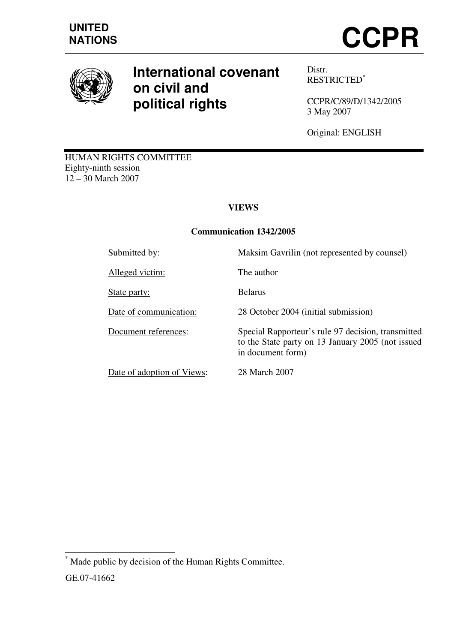



# **International covenant on civil and political rights**

Distr. RESTRICTED\*

CCPR/C/89/D/1342/2005 3 May 2007

Original: ENGLISH

HUMAN RIGHTS COMMITTEE Eighty-ninth session 12 – 30 March 2007

# **VIEWS**

# **Communication 1342/2005**

Alleged victim: The author

State party: Belarus

Date of adoption of Views: 28 March 2007

Submitted by: Maksim Gavrilin (not represented by counsel)

Date of communication: 28 October 2004 (initial submission)

Document references: Special Rapporteur's rule 97 decision, transmitted to the State party on 13 January 2005 (not issued in document form)

 $\overline{\phantom{a}}$ \* Made public by decision of the Human Rights Committee. GE.07-41662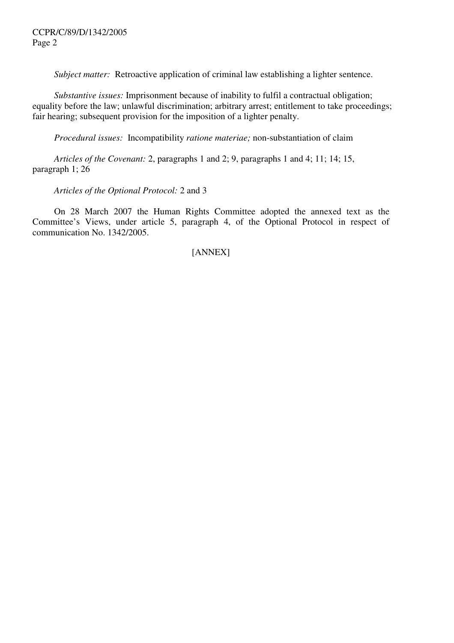*Subject matter:* Retroactive application of criminal law establishing a lighter sentence.

 *Substantive issues:* Imprisonment because of inability to fulfil a contractual obligation; equality before the law; unlawful discrimination; arbitrary arrest; entitlement to take proceedings; fair hearing; subsequent provision for the imposition of a lighter penalty.

 *Procedural issues:* Incompatibility *ratione materiae;* non-substantiation of claim

 *Articles of the Covenant:* 2, paragraphs 1 and 2; 9, paragraphs 1 and 4; 11; 14; 15, paragraph 1; 26

 *Articles of the Optional Protocol:* 2 and 3

 On 28 March 2007 the Human Rights Committee adopted the annexed text as the Committee's Views, under article 5, paragraph 4, of the Optional Protocol in respect of communication No. 1342/2005.

# [ANNEX]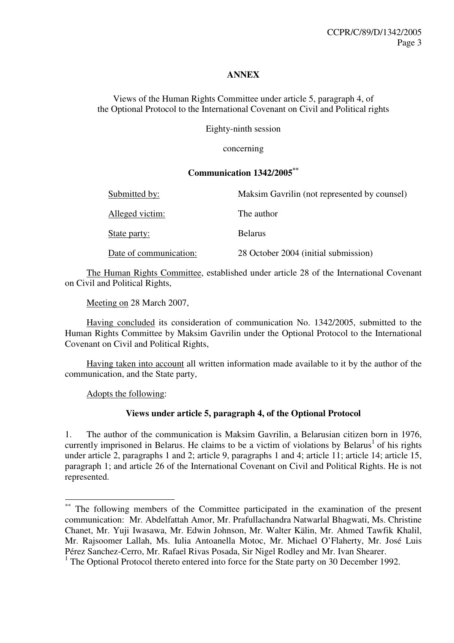#### **ANNEX**

Views of the Human Rights Committee under article 5, paragraph 4, of the Optional Protocol to the International Covenant on Civil and Political rights

Eighty-ninth session

concerning

#### **Communication 1342/2005\*\***

| Submitted by:          | Maksim Gavrilin (not represented by counsel) |
|------------------------|----------------------------------------------|
| Alleged victim:        | The author                                   |
| State party:           | <b>Belarus</b>                               |
| Date of communication: | 28 October 2004 (initial submission)         |

 The Human Rights Committee, established under article 28 of the International Covenant on Civil and Political Rights,

Meeting on 28 March 2007,

 Having concluded its consideration of communication No. 1342/2005, submitted to the Human Rights Committee by Maksim Gavrilin under the Optional Protocol to the International Covenant on Civil and Political Rights,

 Having taken into account all written information made available to it by the author of the communication, and the State party,

Adopts the following:

 $\overline{\phantom{a}}$ 

# **Views under article 5, paragraph 4, of the Optional Protocol**

1. The author of the communication is Maksim Gavrilin, a Belarusian citizen born in 1976, currently imprisoned in Belarus. He claims to be a victim of violations by Belarus<sup>1</sup> of his rights under article 2, paragraphs 1 and 2; article 9, paragraphs 1 and 4; article 11; article 14; article 15, paragraph 1; and article 26 of the International Covenant on Civil and Political Rights. He is not represented.

The following members of the Committee participated in the examination of the present communication: Mr. Abdelfattah Amor, Mr. Prafullachandra Natwarlal Bhagwati, Ms. Christine Chanet, Mr. Yuji Iwasawa, Mr. Edwin Johnson, Mr. Walter Kälin, Mr. Ahmed Tawfik Khalil, Mr. Rajsoomer Lallah, Ms. Iulia Antoanella Motoc, Mr. Michael O'Flaherty, Mr. José Luis Pérez Sanchez-Cerro, Mr. Rafael Rivas Posada, Sir Nigel Rodley and Mr. Ivan Shearer.

<sup>&</sup>lt;sup>1</sup> The Optional Protocol thereto entered into force for the State party on 30 December 1992.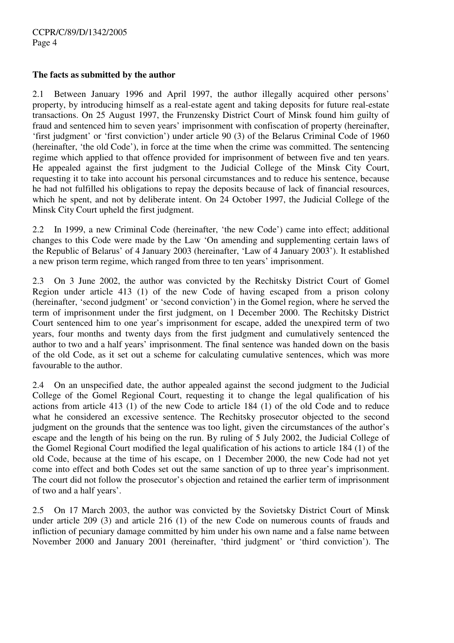#### **The facts as submitted by the author**

2.1 Between January 1996 and April 1997, the author illegally acquired other persons' property, by introducing himself as a real-estate agent and taking deposits for future real-estate transactions. On 25 August 1997, the Frunzensky District Court of Minsk found him guilty of fraud and sentenced him to seven years' imprisonment with confiscation of property (hereinafter, 'first judgment' or 'first conviction') under article 90 (3) of the Belarus Criminal Code of 1960 (hereinafter, 'the old Code'), in force at the time when the crime was committed. The sentencing regime which applied to that offence provided for imprisonment of between five and ten years. He appealed against the first judgment to the Judicial College of the Minsk City Court, requesting it to take into account his personal circumstances and to reduce his sentence, because he had not fulfilled his obligations to repay the deposits because of lack of financial resources, which he spent, and not by deliberate intent. On 24 October 1997, the Judicial College of the Minsk City Court upheld the first judgment.

2.2 In 1999, a new Criminal Code (hereinafter, 'the new Code') came into effect; additional changes to this Code were made by the Law 'On amending and supplementing certain laws of the Republic of Belarus' of 4 January 2003 (hereinafter, 'Law of 4 January 2003'). It established a new prison term regime, which ranged from three to ten years' imprisonment.

2.3 On 3 June 2002, the author was convicted by the Rechitsky District Court of Gomel Region under article 413 (1) of the new Code of having escaped from a prison colony (hereinafter, 'second judgment' or 'second conviction') in the Gomel region, where he served the term of imprisonment under the first judgment, on 1 December 2000. The Rechitsky District Court sentenced him to one year's imprisonment for escape, added the unexpired term of two years, four months and twenty days from the first judgment and cumulatively sentenced the author to two and a half years' imprisonment. The final sentence was handed down on the basis of the old Code, as it set out a scheme for calculating cumulative sentences, which was more favourable to the author.

2.4 On an unspecified date, the author appealed against the second judgment to the Judicial College of the Gomel Regional Court, requesting it to change the legal qualification of his actions from article 413 (1) of the new Code to article 184 (1) of the old Code and to reduce what he considered an excessive sentence. The Rechitsky prosecutor objected to the second judgment on the grounds that the sentence was too light, given the circumstances of the author's escape and the length of his being on the run. By ruling of 5 July 2002, the Judicial College of the Gomel Regional Court modified the legal qualification of his actions to article 184 (1) of the old Code, because at the time of his escape, on 1 December 2000, the new Code had not yet come into effect and both Codes set out the same sanction of up to three year's imprisonment. The court did not follow the prosecutor's objection and retained the earlier term of imprisonment of two and a half years'.

2.5 On 17 March 2003, the author was convicted by the Sovietsky District Court of Minsk under article 209 (3) and article 216 (1) of the new Code on numerous counts of frauds and infliction of pecuniary damage committed by him under his own name and a false name between November 2000 and January 2001 (hereinafter, 'third judgment' or 'third conviction'). The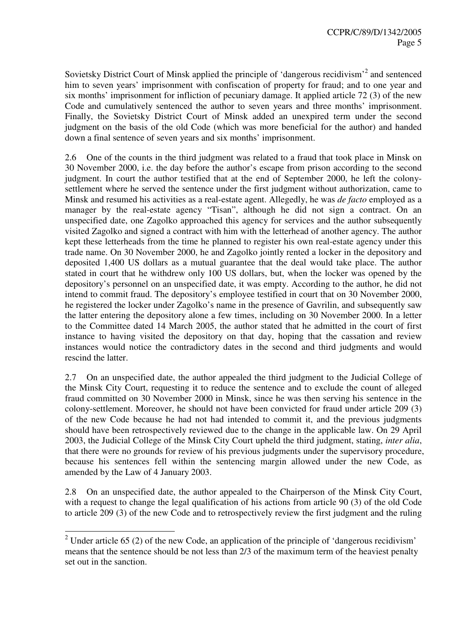Sovietsky District Court of Minsk applied the principle of 'dangerous recidivism'<sup>2</sup> and sentenced him to seven years' imprisonment with confiscation of property for fraud; and to one year and six months' imprisonment for infliction of pecuniary damage. It applied article 72 (3) of the new Code and cumulatively sentenced the author to seven years and three months' imprisonment. Finally, the Sovietsky District Court of Minsk added an unexpired term under the second judgment on the basis of the old Code (which was more beneficial for the author) and handed down a final sentence of seven years and six months' imprisonment.

2.6 One of the counts in the third judgment was related to a fraud that took place in Minsk on 30 November 2000, i.e. the day before the author's escape from prison according to the second judgment. In court the author testified that at the end of September 2000, he left the colonysettlement where he served the sentence under the first judgment without authorization, came to Minsk and resumed his activities as a real-estate agent. Allegedly, he was *de facto* employed as a manager by the real-estate agency "Tisan", although he did not sign a contract. On an unspecified date, one Zagolko approached this agency for services and the author subsequently visited Zagolko and signed a contract with him with the letterhead of another agency. The author kept these letterheads from the time he planned to register his own real-estate agency under this trade name. On 30 November 2000, he and Zagolko jointly rented a locker in the depository and deposited 1,400 US dollars as a mutual guarantee that the deal would take place. The author stated in court that he withdrew only 100 US dollars, but, when the locker was opened by the depository's personnel on an unspecified date, it was empty. According to the author, he did not intend to commit fraud. The depository's employee testified in court that on 30 November 2000, he registered the locker under Zagolko's name in the presence of Gavrilin, and subsequently saw the latter entering the depository alone a few times, including on 30 November 2000. In a letter to the Committee dated 14 March 2005, the author stated that he admitted in the court of first instance to having visited the depository on that day, hoping that the cassation and review instances would notice the contradictory dates in the second and third judgments and would rescind the latter.

2.7 On an unspecified date, the author appealed the third judgment to the Judicial College of the Minsk City Court, requesting it to reduce the sentence and to exclude the count of alleged fraud committed on 30 November 2000 in Minsk, since he was then serving his sentence in the colony-settlement. Moreover, he should not have been convicted for fraud under article 209 (3) of the new Code because he had not had intended to commit it, and the previous judgments should have been retrospectively reviewed due to the change in the applicable law. On 29 April 2003, the Judicial College of the Minsk City Court upheld the third judgment, stating, *inter alia*, that there were no grounds for review of his previous judgments under the supervisory procedure, because his sentences fell within the sentencing margin allowed under the new Code, as amended by the Law of 4 January 2003.

2.8 On an unspecified date, the author appealed to the Chairperson of the Minsk City Court, with a request to change the legal qualification of his actions from article 90 (3) of the old Code to article 209 (3) of the new Code and to retrospectively review the first judgment and the ruling

<sup>&</sup>lt;sup>2</sup> Under article 65 (2) of the new Code, an application of the principle of 'dangerous recidivism' means that the sentence should be not less than 2/3 of the maximum term of the heaviest penalty set out in the sanction.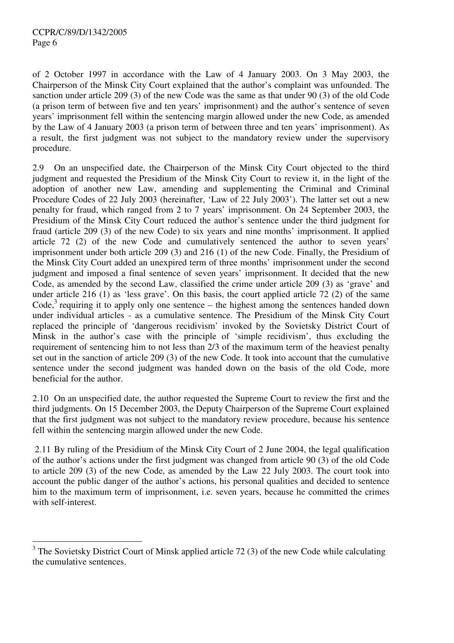of 2 October 1997 in accordance with the Law of 4 January 2003. On 3 May 2003, the Chairperson of the Minsk City Court explained that the author's complaint was unfounded. The sanction under article 209 (3) of the new Code was the same as that under 90 (3) of the old Code (a prison term of between five and ten years' imprisonment) and the author's sentence of seven years' imprisonment fell within the sentencing margin allowed under the new Code, as amended by the Law of 4 January 2003 (a prison term of between three and ten years' imprisonment). As a result, the first judgment was not subject to the mandatory review under the supervisory procedure.

2.9 On an unspecified date, the Chairperson of the Minsk City Court objected to the third judgment and requested the Presidium of the Minsk City Court to review it, in the light of the adoption of another new Law, amending and supplementing the Criminal and Criminal Procedure Codes of 22 July 2003 (hereinafter, 'Law of 22 July 2003'). The latter set out a new penalty for fraud, which ranged from 2 to 7 years' imprisonment. On 24 September 2003, the Presidium of the Minsk City Court reduced the author's sentence under the third judgment for fraud (article 209 (3) of the new Code) to six years and nine months' imprisonment. It applied article 72 (2) of the new Code and cumulatively sentenced the author to seven years' imprisonment under both article 209 (3) and 216 (1) of the new Code. Finally, the Presidium of the Minsk City Court added an unexpired term of three months' imprisonment under the second judgment and imposed a final sentence of seven years' imprisonment. It decided that the new Code, as amended by the second Law, classified the crime under article 209 (3) as 'grave' and under article 216 (1) as 'less grave'. On this basis, the court applied article 72 (2) of the same Code,<sup>3</sup> requiring it to apply only one sentence – the highest among the sentences handed down under individual articles - as a cumulative sentence. The Presidium of the Minsk City Court replaced the principle of 'dangerous recidivism' invoked by the Sovietsky District Court of Minsk in the author's case with the principle of 'simple recidivism', thus excluding the requirement of sentencing him to not less than 2/3 of the maximum term of the heaviest penalty set out in the sanction of article 209 (3) of the new Code. It took into account that the cumulative sentence under the second judgment was handed down on the basis of the old Code, more beneficial for the author.

2.10 On an unspecified date, the author requested the Supreme Court to review the first and the third judgments. On 15 December 2003, the Deputy Chairperson of the Supreme Court explained that the first judgment was not subject to the mandatory review procedure, because his sentence fell within the sentencing margin allowed under the new Code.

2.11 By ruling of the Presidium of the Minsk City Court of 2 June 2004, the legal qualification of the author's actions under the first judgment was changed from article 90 (3) of the old Code to article 209 (3) of the new Code, as amended by the Law 22 July 2003. The court took into account the public danger of the author's actions, his personal qualities and decided to sentence him to the maximum term of imprisonment, i.e. seven years, because he committed the crimes with self-interest.

<sup>&</sup>lt;sup>3</sup> The Sovietsky District Court of Minsk applied article 72 (3) of the new Code while calculating the cumulative sentences.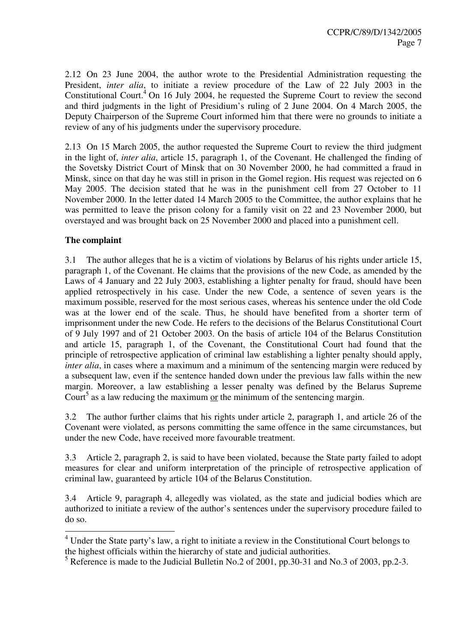2.12 On 23 June 2004, the author wrote to the Presidential Administration requesting the President, *inter alia*, to initiate a review procedure of the Law of 22 July 2003 in the Constitutional Court. $4$  On 16 July 2004, he requested the Supreme Court to review the second and third judgments in the light of Presidium's ruling of 2 June 2004. On 4 March 2005, the Deputy Chairperson of the Supreme Court informed him that there were no grounds to initiate a review of any of his judgments under the supervisory procedure.

2.13 On 15 March 2005, the author requested the Supreme Court to review the third judgment in the light of, *inter alia*, article 15, paragraph 1, of the Covenant. He challenged the finding of the Sovetsky District Court of Minsk that on 30 November 2000, he had committed a fraud in Minsk, since on that day he was still in prison in the Gomel region. His request was rejected on 6 May 2005. The decision stated that he was in the punishment cell from 27 October to 11 November 2000. In the letter dated 14 March 2005 to the Committee, the author explains that he was permitted to leave the prison colony for a family visit on 22 and 23 November 2000, but overstayed and was brought back on 25 November 2000 and placed into a punishment cell.

# **The complaint**

3.1 The author alleges that he is a victim of violations by Belarus of his rights under article 15, paragraph 1, of the Covenant. He claims that the provisions of the new Code, as amended by the Laws of 4 January and 22 July 2003, establishing a lighter penalty for fraud, should have been applied retrospectively in his case. Under the new Code, a sentence of seven years is the maximum possible, reserved for the most serious cases, whereas his sentence under the old Code was at the lower end of the scale. Thus, he should have benefited from a shorter term of imprisonment under the new Code. He refers to the decisions of the Belarus Constitutional Court of 9 July 1997 and of 21 October 2003. On the basis of article 104 of the Belarus Constitution and article 15, paragraph 1, of the Covenant, the Constitutional Court had found that the principle of retrospective application of criminal law establishing a lighter penalty should apply, *inter alia*, in cases where a maximum and a minimum of the sentencing margin were reduced by a subsequent law, even if the sentence handed down under the previous law falls within the new margin. Moreover, a law establishing a lesser penalty was defined by the Belarus Supreme Court<sup>5</sup> as a law reducing the maximum or the minimum of the sentencing margin.

3.2 The author further claims that his rights under article 2, paragraph 1, and article 26 of the Covenant were violated, as persons committing the same offence in the same circumstances, but under the new Code, have received more favourable treatment.

3.3 Article 2, paragraph 2, is said to have been violated, because the State party failed to adopt measures for clear and uniform interpretation of the principle of retrospective application of criminal law, guaranteed by article 104 of the Belarus Constitution.

3.4 Article 9, paragraph 4, allegedly was violated, as the state and judicial bodies which are authorized to initiate a review of the author's sentences under the supervisory procedure failed to do so.

 4 Under the State party's law, a right to initiate a review in the Constitutional Court belongs to the highest officials within the hierarchy of state and judicial authorities.

 $<sup>5</sup>$  Reference is made to the Judicial Bulletin No.2 of 2001, pp.30-31 and No.3 of 2003, pp.2-3.</sup>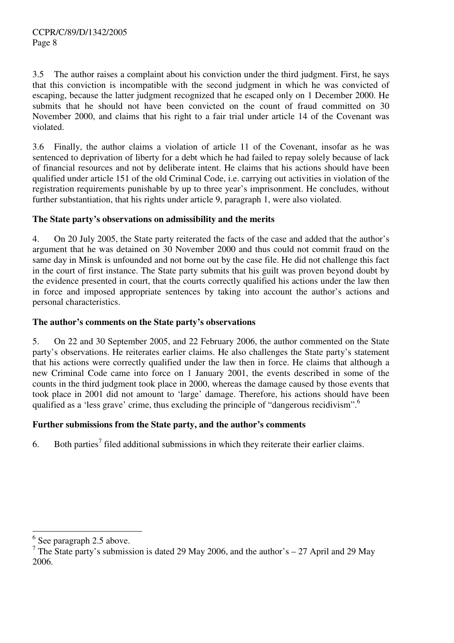3.5 The author raises a complaint about his conviction under the third judgment. First, he says that this conviction is incompatible with the second judgment in which he was convicted of escaping, because the latter judgment recognized that he escaped only on 1 December 2000. He submits that he should not have been convicted on the count of fraud committed on 30 November 2000, and claims that his right to a fair trial under article 14 of the Covenant was violated.

3.6 Finally, the author claims a violation of article 11 of the Covenant, insofar as he was sentenced to deprivation of liberty for a debt which he had failed to repay solely because of lack of financial resources and not by deliberate intent. He claims that his actions should have been qualified under article 151 of the old Criminal Code, i.e. carrying out activities in violation of the registration requirements punishable by up to three year's imprisonment. He concludes, without further substantiation, that his rights under article 9, paragraph 1, were also violated.

# **The State party's observations on admissibility and the merits**

4. On 20 July 2005, the State party reiterated the facts of the case and added that the author's argument that he was detained on 30 November 2000 and thus could not commit fraud on the same day in Minsk is unfounded and not borne out by the case file. He did not challenge this fact in the court of first instance. The State party submits that his guilt was proven beyond doubt by the evidence presented in court, that the courts correctly qualified his actions under the law then in force and imposed appropriate sentences by taking into account the author's actions and personal characteristics.

#### **The author's comments on the State party's observations**

5. On 22 and 30 September 2005, and 22 February 2006, the author commented on the State party's observations. He reiterates earlier claims. He also challenges the State party's statement that his actions were correctly qualified under the law then in force. He claims that although a new Criminal Code came into force on 1 January 2001, the events described in some of the counts in the third judgment took place in 2000, whereas the damage caused by those events that took place in 2001 did not amount to 'large' damage. Therefore, his actions should have been qualified as a 'less grave' crime, thus excluding the principle of "dangerous recidivism".<sup>6</sup>

# **Further submissions from the State party, and the author's comments**

6. Both parties<sup>7</sup> filed additional submissions in which they reiterate their earlier claims.

<sup>&</sup>lt;sup>6</sup> See paragraph 2.5 above.

<sup>&</sup>lt;sup>7</sup> The State party's submission is dated 29 May 2006, and the author's  $-27$  April and 29 May 2006.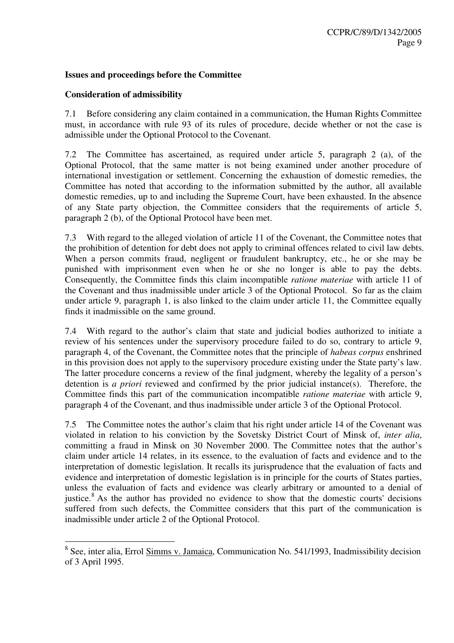#### **Issues and proceedings before the Committee**

#### **Consideration of admissibility**

7.1 Before considering any claim contained in a communication, the Human Rights Committee must, in accordance with rule 93 of its rules of procedure, decide whether or not the case is admissible under the Optional Protocol to the Covenant.

7.2 The Committee has ascertained, as required under article 5, paragraph 2 (a), of the Optional Protocol, that the same matter is not being examined under another procedure of international investigation or settlement. Concerning the exhaustion of domestic remedies, the Committee has noted that according to the information submitted by the author, all available domestic remedies, up to and including the Supreme Court, have been exhausted. In the absence of any State party objection, the Committee considers that the requirements of article 5, paragraph 2 (b), of the Optional Protocol have been met.

7.3 With regard to the alleged violation of article 11 of the Covenant, the Committee notes that the prohibition of detention for debt does not apply to criminal offences related to civil law debts. When a person commits fraud, negligent or fraudulent bankruptcy, etc., he or she may be punished with imprisonment even when he or she no longer is able to pay the debts. Consequently, the Committee finds this claim incompatible *ratione materiae* with article 11 of the Covenant and thus inadmissible under article 3 of the Optional Protocol. So far as the claim under article 9, paragraph 1, is also linked to the claim under article 11, the Committee equally finds it inadmissible on the same ground.

7.4 With regard to the author's claim that state and judicial bodies authorized to initiate a review of his sentences under the supervisory procedure failed to do so, contrary to article 9, paragraph 4, of the Covenant, the Committee notes that the principle of *habeas corpus* enshrined in this provision does not apply to the supervisory procedure existing under the State party's law. The latter procedure concerns a review of the final judgment, whereby the legality of a person's detention is *a priori* reviewed and confirmed by the prior judicial instance(s). Therefore, the Committee finds this part of the communication incompatible *ratione materiae* with article 9, paragraph 4 of the Covenant, and thus inadmissible under article 3 of the Optional Protocol.

7.5 The Committee notes the author's claim that his right under article 14 of the Covenant was violated in relation to his conviction by the Sovetsky District Court of Minsk of, *inter alia*, committing a fraud in Minsk on 30 November 2000. The Committee notes that the author's claim under article 14 relates, in its essence, to the evaluation of facts and evidence and to the interpretation of domestic legislation. It recalls its jurisprudence that the evaluation of facts and evidence and interpretation of domestic legislation is in principle for the courts of States parties, unless the evaluation of facts and evidence was clearly arbitrary or amounted to a denial of justice.<sup>8</sup> As the author has provided no evidence to show that the domestic courts' decisions suffered from such defects, the Committee considers that this part of the communication is inadmissible under article 2 of the Optional Protocol.

<sup>&</sup>lt;sup>8</sup> See, inter alia, Errol <u>Simms v. Jamaica</u>, Communication No. 541/1993, Inadmissibility decision of 3 April 1995.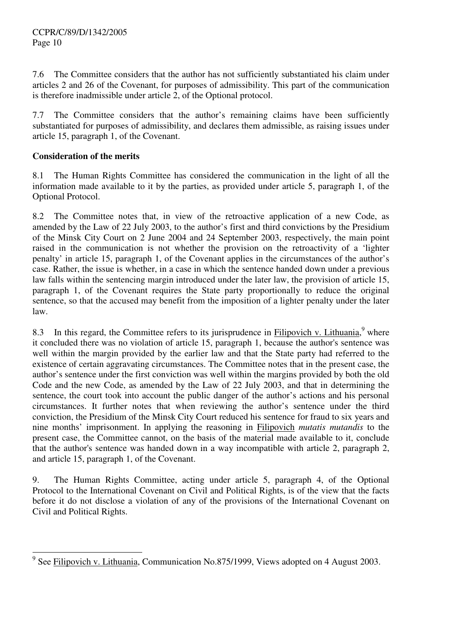7.6 The Committee considers that the author has not sufficiently substantiated his claim under articles 2 and 26 of the Covenant, for purposes of admissibility. This part of the communication is therefore inadmissible under article 2, of the Optional protocol.

7.7 The Committee considers that the author's remaining claims have been sufficiently substantiated for purposes of admissibility, and declares them admissible, as raising issues under article 15, paragraph 1, of the Covenant.

# **Consideration of the merits**

8.1 The Human Rights Committee has considered the communication in the light of all the information made available to it by the parties, as provided under article 5, paragraph 1, of the Optional Protocol.

8.2 The Committee notes that, in view of the retroactive application of a new Code, as amended by the Law of 22 July 2003, to the author's first and third convictions by the Presidium of the Minsk City Court on 2 June 2004 and 24 September 2003, respectively, the main point raised in the communication is not whether the provision on the retroactivity of a 'lighter penalty' in article 15, paragraph 1, of the Covenant applies in the circumstances of the author's case. Rather, the issue is whether, in a case in which the sentence handed down under a previous law falls within the sentencing margin introduced under the later law, the provision of article 15, paragraph 1, of the Covenant requires the State party proportionally to reduce the original sentence, so that the accused may benefit from the imposition of a lighter penalty under the later law.

8.3 In this regard, the Committee refers to its jurisprudence in  $\overline{\text{Filipovich v. Lithuania}}$ , where it concluded there was no violation of article 15, paragraph 1, because the author's sentence was well within the margin provided by the earlier law and that the State party had referred to the existence of certain aggravating circumstances. The Committee notes that in the present case, the author's sentence under the first conviction was well within the margins provided by both the old Code and the new Code, as amended by the Law of 22 July 2003, and that in determining the sentence, the court took into account the public danger of the author's actions and his personal circumstances. It further notes that when reviewing the author's sentence under the third conviction, the Presidium of the Minsk City Court reduced his sentence for fraud to six years and nine months' imprisonment. In applying the reasoning in Filipovich *mutatis mutandis* to the present case, the Committee cannot, on the basis of the material made available to it, conclude that the author's sentence was handed down in a way incompatible with article 2, paragraph 2, and article 15, paragraph 1, of the Covenant.

9. The Human Rights Committee, acting under article 5, paragraph 4, of the Optional Protocol to the International Covenant on Civil and Political Rights, is of the view that the facts before it do not disclose a violation of any of the provisions of the International Covenant on Civil and Political Rights.

<sup>&</sup>lt;sup>9</sup> See Filipovich v. Lithuania, Communication No.875/1999, Views adopted on 4 August 2003.